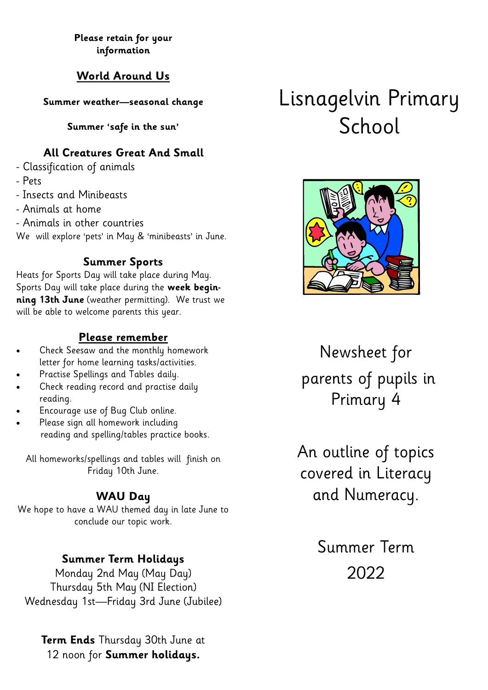**Please retain for your information** 

#### **World Around Us**

**Summer weather—seasonal change**

**Summer 'safe in the sun'**

### **All Creatures Great And Small**

- Classification of animals
- Pets
- Insects and Minibeasts
- Animals at home
- Animals in other countries

We will explore 'pets' in May & 'minibeasts' in June.

#### **Summer Sports**

Heats for Sports Day will take place during May. Sports Day will take place during the **week beginning 13th June** (weather permitting). We trust we will be able to welcome parents this year.

#### **Please remember**

- Check Seesaw and the monthly homework letter for home learning tasks/activities.
- Practise Spellings and Tables daily.
- Check reading record and practise daily reading.
- Encourage use of Bug Club online.
- Please sign all homework including reading and spelling/tables practice books.

All homeworks/spellings and tables will finish on Friday 10th June.

# **WAU Day**

We hope to have a WAU themed day in late June to conclude our topic work.

# **Summer Term Holidays**

Monday 2nd May (May Day) Thursday 5th May (NI Election) Wednesday 1st—Friday 3rd June (Jubilee)

**Term Ends** Thursday 30th June at 12 noon for **Summer holidays.** 

# Lisnagelvin Primary School



Newsheet for parents of pupils in Primary 4

An outline of topics covered in Literacy and Numeracy.

> Summer Term 2022